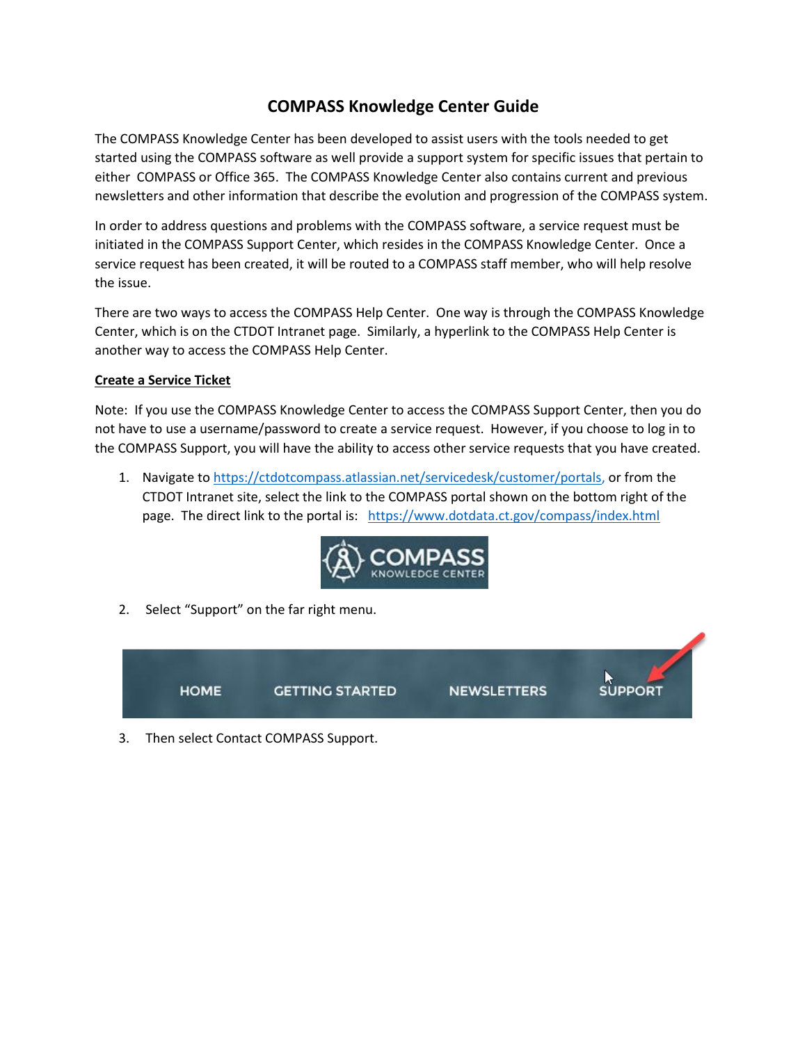## **COMPASS Knowledge Center Guide**

The COMPASS Knowledge Center has been developed to assist users with the tools needed to get started using the COMPASS software as well provide a support system for specific issues that pertain to either COMPASS or Office 365. The COMPASS Knowledge Center also contains current and previous newsletters and other information that describe the evolution and progression of the COMPASS system.

In order to address questions and problems with the COMPASS software, a service request must be initiated in the COMPASS Support Center, which resides in the COMPASS Knowledge Center. Once a service request has been created, it will be routed to a COMPASS staff member, who will help resolve the issue.

There are two ways to access the COMPASS Help Center. One way is through the COMPASS Knowledge Center, which is on the CTDOT Intranet page. Similarly, a hyperlink to the COMPASS Help Center is another way to access the COMPASS Help Center.

## **Create a Service Ticket**

Note: If you use the COMPASS Knowledge Center to access the COMPASS Support Center, then you do not have to use a username/password to create a service request. However, if you choose to log in to the COMPASS Support, you will have the ability to access other service requests that you have created.

1. Navigate to [https://ctdotcompass.atlassian.net/servicedesk/customer/portals,](https://ctdotcompass.atlassian.net/servicedesk/customer/portals) or from the CTDOT Intranet site, select the link to the COMPASS portal shown on the bottom right of the page. The direct link to the portal is: <https://www.dotdata.ct.gov/compass/index.html>



2. Select "Support" on the far right menu.



3. Then select Contact COMPASS Support.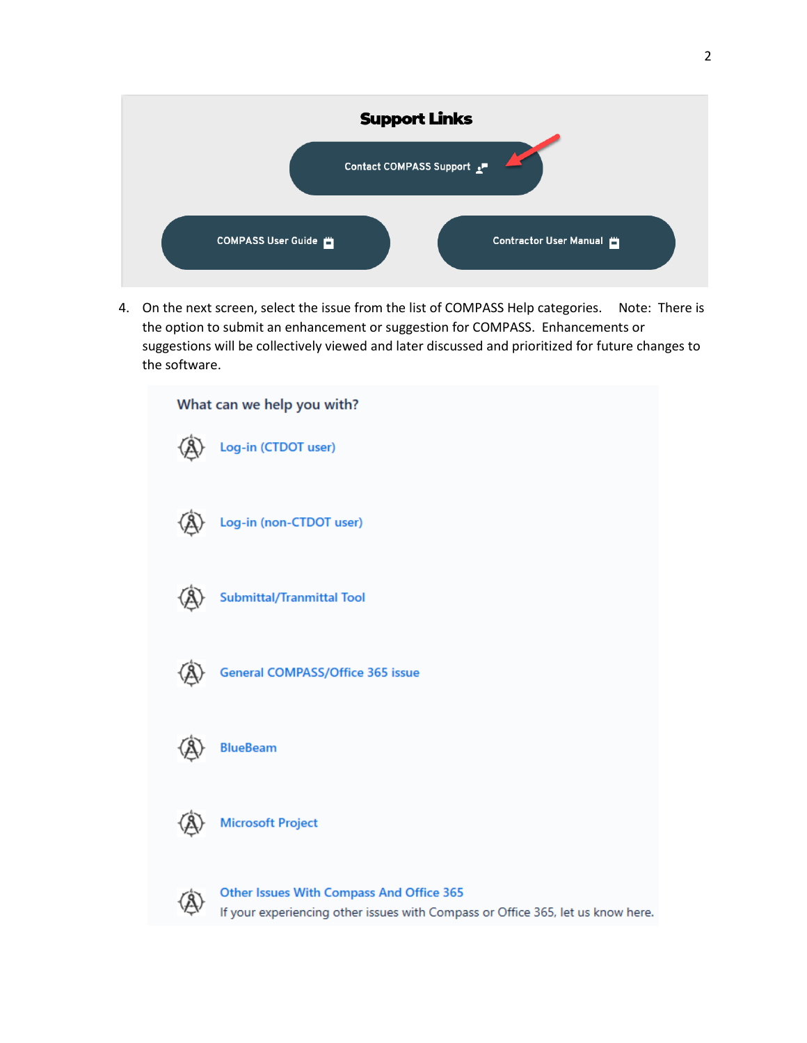

4. On the next screen, select the issue from the list of COMPASS Help categories. Note: There is the option to submit an enhancement or suggestion for COMPASS. Enhancements or suggestions will be collectively viewed and later discussed and prioritized for future changes to the software.

| What can we help you with?                                                                                                         |
|------------------------------------------------------------------------------------------------------------------------------------|
| Log-in (CTDOT user)                                                                                                                |
| Log-in (non-CTDOT user)                                                                                                            |
| <b>Submittal/Tranmittal Tool</b>                                                                                                   |
| <b>General COMPASS/Office 365 issue</b>                                                                                            |
| <b>BlueBeam</b>                                                                                                                    |
| <b>Microsoft Project</b>                                                                                                           |
| <b>Other Issues With Compass And Office 365</b><br>If your experiencing other issues with Compass or Office 365, let us know here. |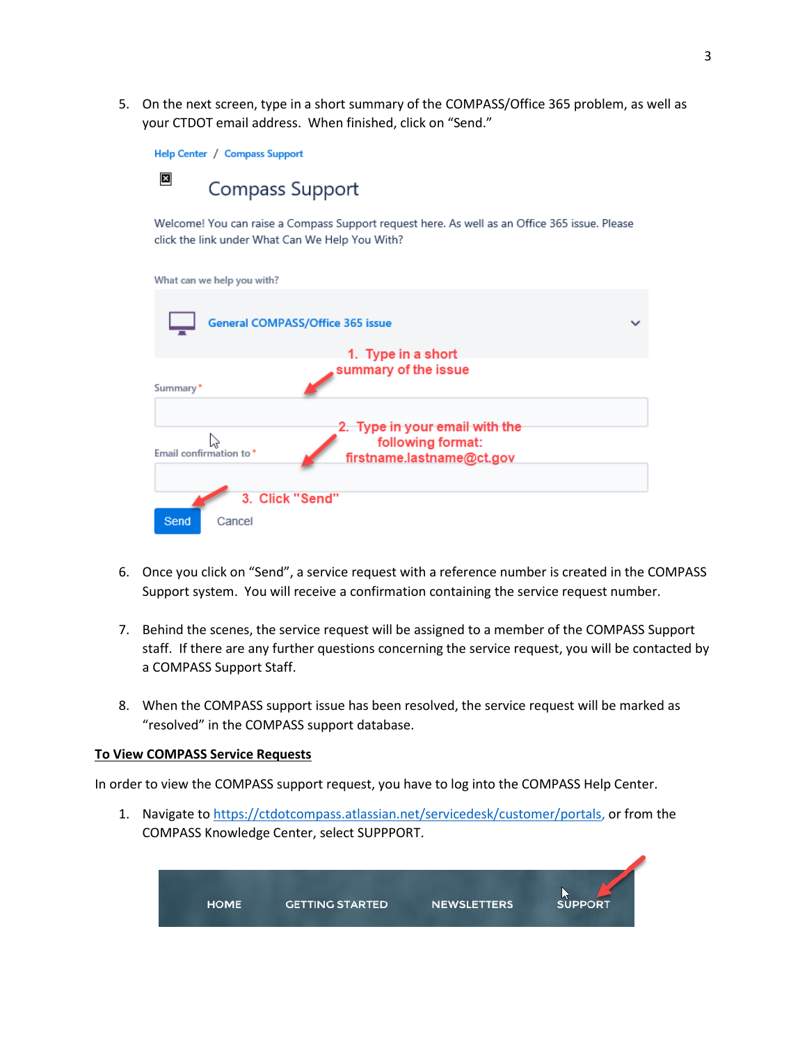5. On the next screen, type in a short summary of the COMPASS/Office 365 problem, as well as your CTDOT email address. When finished, click on "Send."



Welcome! You can raise a Compass Support request here. As well as an Office 365 issue. Please click the link under What Can We Help You With?

What can we help you with?

| <b>General COMPASS/Office 365 issue</b> |                                                                                  |  |  |
|-----------------------------------------|----------------------------------------------------------------------------------|--|--|
|                                         | 1. Type in a short                                                               |  |  |
|                                         | summary of the issue                                                             |  |  |
| Summary*                                |                                                                                  |  |  |
| Email confirmation to*                  | 2. Type in your email with the<br>following format:<br>firstname.lastname@ct.gov |  |  |
|                                         | 3. Click "Send"                                                                  |  |  |
| Send<br>Cancel                          |                                                                                  |  |  |

- 6. Once you click on "Send", a service request with a reference number is created in the COMPASS Support system. You will receive a confirmation containing the service request number.
- 7. Behind the scenes, the service request will be assigned to a member of the COMPASS Support staff. If there are any further questions concerning the service request, you will be contacted by a COMPASS Support Staff.
- 8. When the COMPASS support issue has been resolved, the service request will be marked as "resolved" in the COMPASS support database.

## **To View COMPASS Service Requests**

In order to view the COMPASS support request, you have to log into the COMPASS Help Center.

1. Navigate to [https://ctdotcompass.atlassian.net/servicedesk/customer/portals,](https://ctdotcompass.atlassian.net/servicedesk/customer/portals) or from the COMPASS Knowledge Center, select SUPPPORT.

| <b>HOME</b> | <b>GETTING STARTED</b> | <b>NEWSLETTERS</b><br>a mana a sa taon an amam-amam-amam-amam-amam- | <b>SUPPORT</b> |
|-------------|------------------------|---------------------------------------------------------------------|----------------|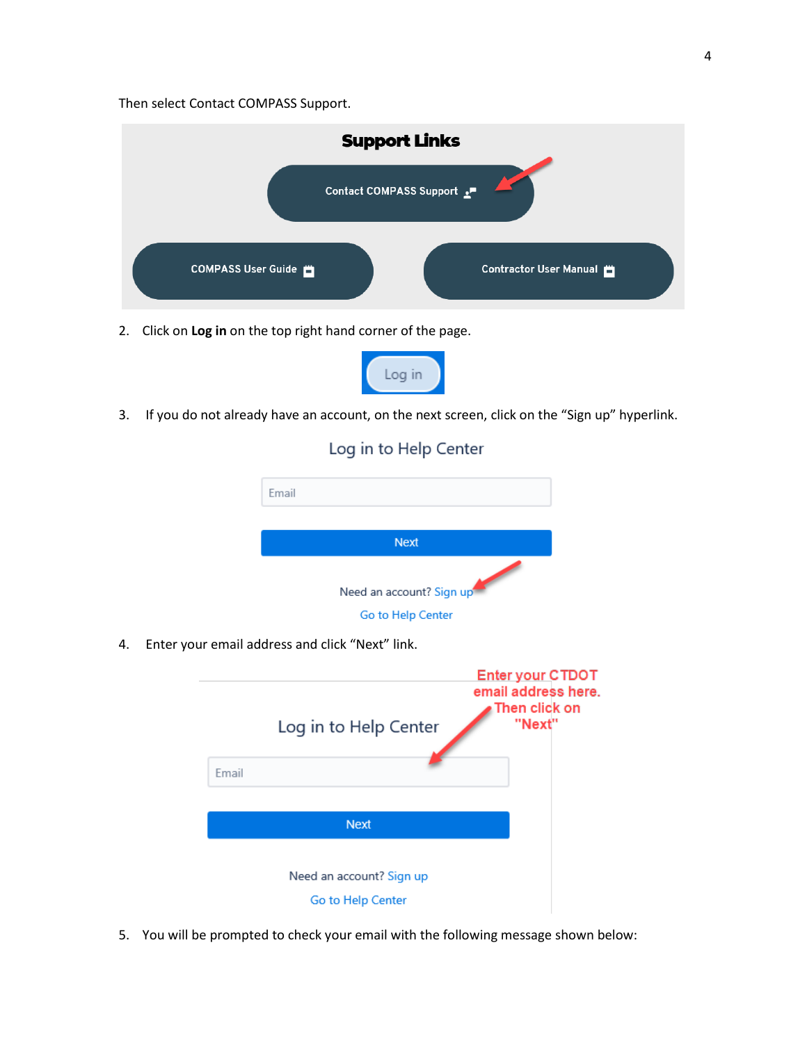Then select Contact COMPASS Support.



2. Click on **Log in** on the top right hand corner of the page.



3. If you do not already have an account, on the next screen, click on the "Sign up" hyperlink.

Log in to Help Center





5. You will be prompted to check your email with the following message shown below: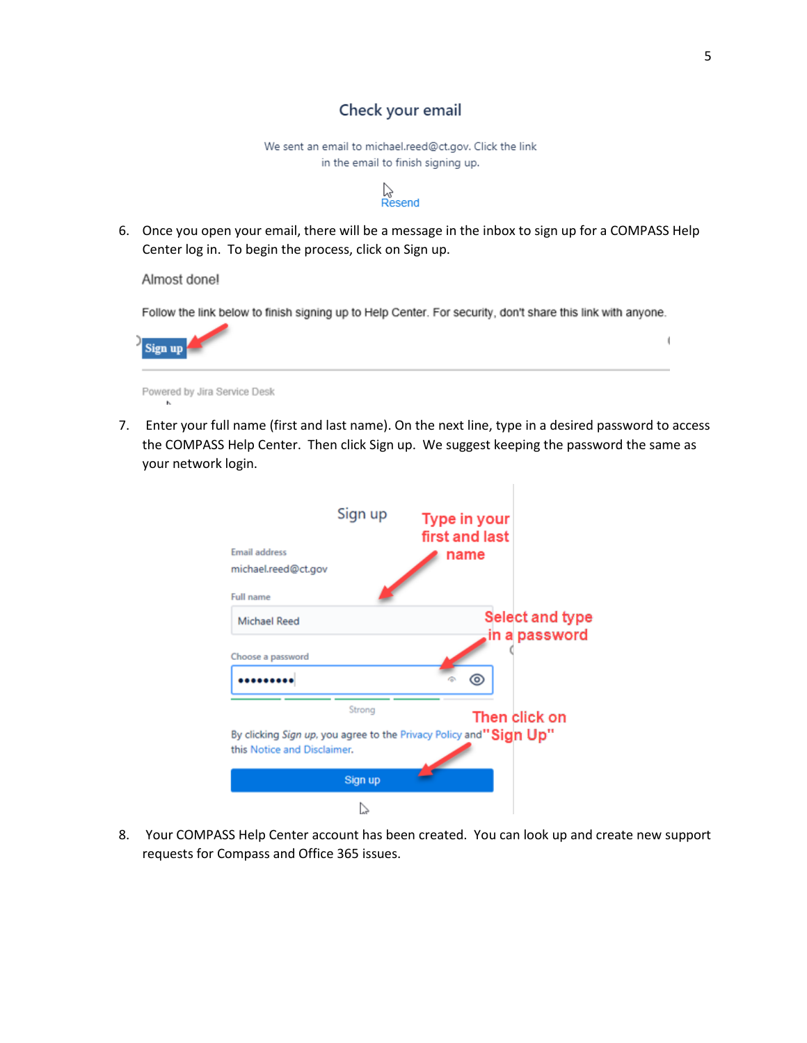## Check your email

We sent an email to michael.reed@ct.gov. Click the link in the email to finish signing up.



6. Once you open your email, there will be a message in the inbox to sign up for a COMPASS Help Center log in. To begin the process, click on Sign up.

Almost donel

Follow the link below to finish signing up to Help Center. For security, don't share this link with anyone.



- Powered by Jira Service Desk
- 7. Enter your full name (first and last name). On the next line, type in a desired password to access the COMPASS Help Center. Then click Sign up. We suggest keeping the password the same as your network login.



8. Your COMPASS Help Center account has been created. You can look up and create new support requests for Compass and Office 365 issues.